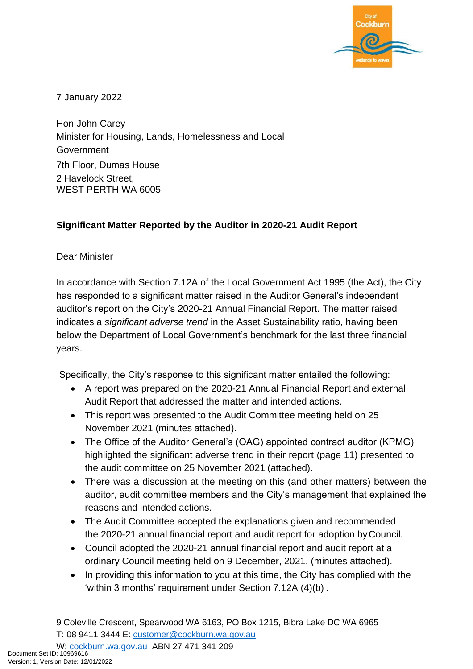

7 January 2022

Hon John Carey Minister for Housing, Lands, Homelessness and Local Government 7th Floor, Dumas House 2 Havelock Street, WEST PERTH WA 6005

## **Significant Matter Reported by the Auditor in 2020-21 Audit Report**

Dear Minister

In accordance with Section 7.12A of the Local Government Act 1995 (the Act), the City has responded to a significant matter raised in the Auditor General's independent auditor's report on the City's 2020-21 Annual Financial Report. The matter raised indicates a *significant adverse trend* in the Asset Sustainability ratio, having been below the Department of Local Government's benchmark for the last three financial years.

Specifically, the City's response to this significant matter entailed the following:

- A report was prepared on the 2020-21 Annual Financial Report and external Audit Report that addressed the matter and intended actions.
- This report was presented to the Audit Committee meeting held on 25 November 2021 (minutes attached).
- The Office of the Auditor General's (OAG) appointed contract auditor (KPMG) highlighted the significant adverse trend in their report (page 11) presented to the audit committee on 25 November 2021 (attached).
- There was a discussion at the meeting on this (and other matters) between the auditor, audit committee members and the City's management that explained the reasons and intended actions.
- The Audit Committee accepted the explanations given and recommended the 2020-21 annual financial report and audit report for adoption byCouncil.
- Council adopted the 2020-21 annual financial report and audit report at a ordinary Council meeting held on 9 December, 2021. (minutes attached).
- In providing this information to you at this time, the City has complied with the 'within 3 months' requirement under Section 7.12A (4)(b) .